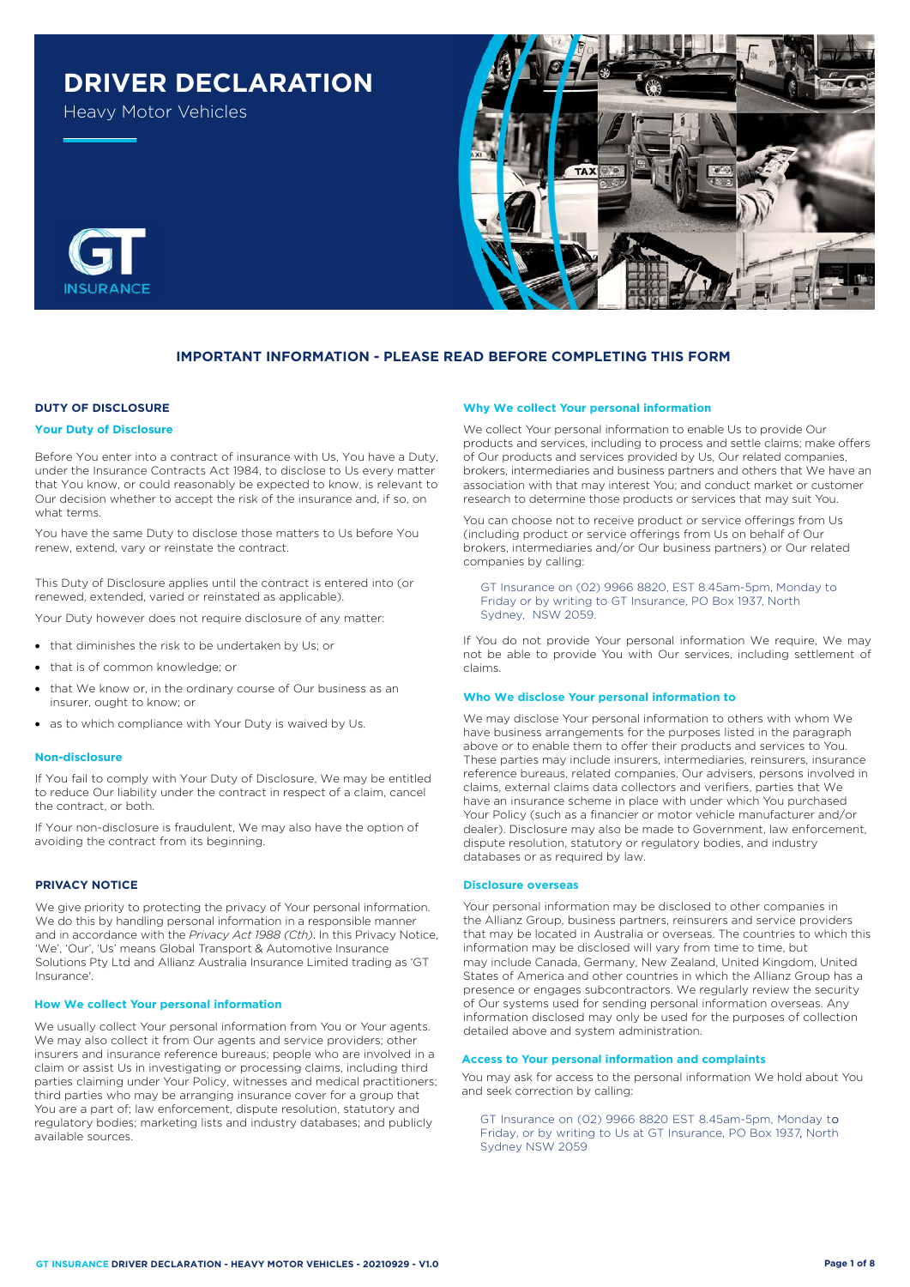# **DRIVER DECLARATION**

Heavy Motor Vehicles



## **IMPORTANT INFORMATION - PLEASE READ BEFORE COMPLETING THIS FORM**

#### **DUTY OF DISCLOSURE**

#### **Your Duty of Disclosure**

Before You enter into a contract of insurance with Us, You have a Duty, under the Insurance Contracts Act 1984, to disclose to Us every matter that You know, or could reasonably be expected to know, is relevant to Our decision whether to accept the risk of the insurance and, if so, on what terms.

You have the same Duty to disclose those matters to Us before You renew, extend, vary or reinstate the contract.

This Duty of Disclosure applies until the contract is entered into (or renewed, extended, varied or reinstated as applicable).

Your Duty however does not require disclosure of any matter:

- that diminishes the risk to be undertaken by Us; or
- that is of common knowledge; or
- that We know or, in the ordinary course of Our business as an insurer, ought to know; or
- as to which compliance with Your Duty is waived by Us.

#### **Non-disclosure**

If You fail to comply with Your Duty of Disclosure, We may be entitled to reduce Our liability under the contract in respect of a claim, cancel the contract, or both.

If Your non-disclosure is fraudulent, We may also have the option of avoiding the contract from its beginning.

#### **PRIVACY NOTICE**

We give priority to protecting the privacy of Your personal information. We do this by handling personal information in a responsible manner and in accordance with the *Privacy Act 1988 (Cth)*. In this Privacy Notice, 'We', 'Our', 'Us' means Global Transport & Automotive Insurance Solutions Pty Ltd and Allianz Australia Insurance Limited trading as 'GT Insurance'.

#### **How We collect Your personal information**

We usually collect Your personal information from You or Your agents. We may also collect it from Our agents and service providers; other insurers and insurance reference bureaus; people who are involved in a claim or assist Us in investigating or processing claims, including third parties claiming under Your Policy, witnesses and medical practitioners; third parties who may be arranging insurance cover for a group that You are a part of; law enforcement, dispute resolution, statutory and regulatory bodies; marketing lists and industry databases; and publicly available sources.

#### **Why We collect Your personal information**

We collect Your personal information to enable Us to provide Our products and services, including to process and settle claims; make offers of Our products and services provided by Us, Our related companies, brokers, intermediaries and business partners and others that We have an association with that may interest You; and conduct market or customer research to determine those products or services that may suit You.

You can choose not to receive product or service offerings from Us (including product or service offerings from Us on behalf of Our brokers, intermediaries and/or Our business partners) or Our related companies by calling:

GT Insurance on (02) 9966 8820, EST 8.45am-5pm, Monday to Friday or by writing to GT Insurance, PO Box 1937, North Sydney, NSW 2059.

If You do not provide Your personal information We require, We may not be able to provide You with Our services, including settlement of claims.

#### **Who We disclose Your personal information to**

We may disclose Your personal information to others with whom We have business arrangements for the purposes listed in the paragraph above or to enable them to offer their products and services to You. These parties may include insurers, intermediaries, reinsurers, insurance reference bureaus, related companies, Our advisers, persons involved in claims, external claims data collectors and verifiers, parties that We have an insurance scheme in place with under which You purchased Your Policy (such as a financier or motor vehicle manufacturer and/or dealer). Disclosure may also be made to Government, law enforcement, dispute resolution, statutory or regulatory bodies, and industry databases or as required by law.

#### **Disclosure overseas**

Your personal information may be disclosed to other companies in the Allianz Group, business partners, reinsurers and service providers that may be located in Australia or overseas. The countries to which this information may be disclosed will vary from time to time, but may include Canada, Germany, New Zealand, United Kingdom, United States of America and other countries in which the Allianz Group has a presence or engages subcontractors. We regularly review the security of Our systems used for sending personal information overseas. Any information disclosed may only be used for the purposes of collection detailed above and system administration.

## **Access to Your personal information and complaints**

You may ask for access to the personal information We hold about You and seek correction by calling:

, Friday, or by writing to Us at GT Insurance, PO Box 1937, North GT Insurance on (02) 9966 8820 EST 8.45am-5pm, Monday to Sydney NSW 2059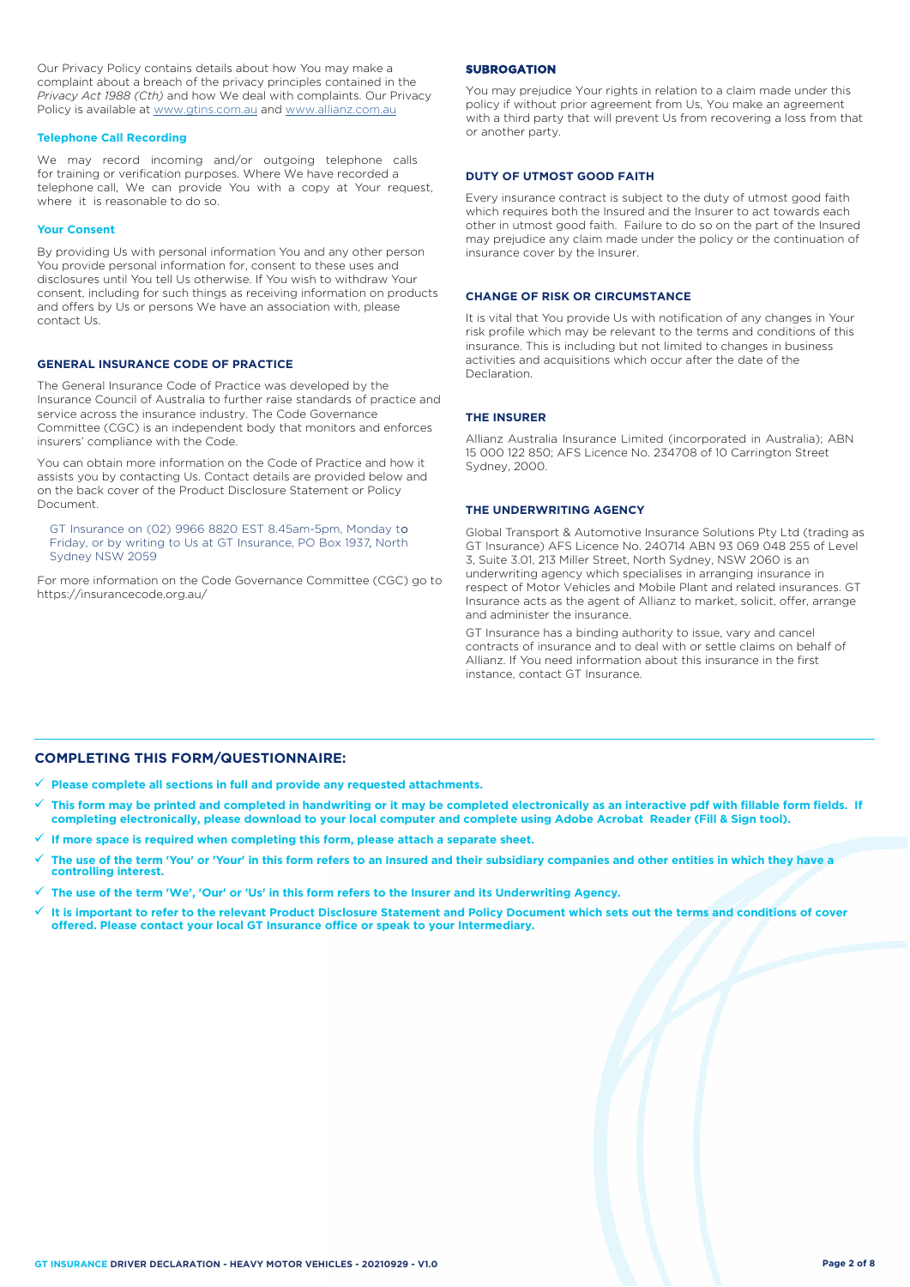Our Privacy Policy contains details about how You may make a complaint about a breach of the privacy principles contained in the *Privacy Act 1988 (Cth)* and how We deal with complaints. Our Privacy Policy is available at [www.gtins.com.au](https://www.gtins.com.au/documents-and-policies/) and [www.allianz.com.au](https://www.allianz.com.au/about-us/privacy/)

#### **Telephone Call Recording**

We may record incoming and/or outgoing telephone calls for training or verification purposes. Where We have recorded a telephone call, We can provide You with a copy at Your request, where it is reasonable to do so.

#### **Your Consent**

By providing Us with personal information You and any other person You provide personal information for, consent to these uses and disclosures until You tell Us otherwise. If You wish to withdraw Your consent, including for such things as receiving information on products and offers by Us or persons We have an association with, please contact Us.

#### **GENERAL INSURANCE CODE OF PRACTICE**

The General Insurance Code of Practice was developed by the Insurance Council of Australia to further raise standards of practice and service across the insurance industry. The Code Governance Committee (CGC) is an independent body that monitors and enforces insurers' compliance with the Code.

You can obtain more information on the Code of Practice and how it assists you by contacting Us. Contact details are provided below and on the back cover of the Product Disclosure Statement or Policy Document.

, Friday, or by writing to Us at GT Insurance, PO Box 1937, North GT Insurance on (02) 9966 8820 EST 8.45am-5pm, Monday to Sydney NSW 2059

For more information on the Code Governance Committee (CGC) go to <https://insurancecode.org.au/>

#### **SUBROGATION**

You may prejudice Your rights in relation to a claim made under this policy if without prior agreement from Us, You make an agreement with a third party that will prevent Us from recovering a loss from that or another party.

#### **DUTY OF UTMOST GOOD FAITH**

Every insurance contract is subject to the duty of utmost good faith which requires both the Insured and the Insurer to act towards each other in utmost good faith. Failure to do so on the part of the Insured may prejudice any claim made under the policy or the continuation of insurance cover by the Insurer.

#### **CHANGE OF RISK OR CIRCUMSTANCE**

It is vital that You provide Us with notification of any changes in Your risk profile which may be relevant to the terms and conditions of this insurance. This is including but not limited to changes in business activities and acquisitions which occur after the date of the Declaration.

#### **THE INSURER**

Allianz Australia Insurance Limited (incorporated in Australia); ABN 15 000 122 850; AFS Licence No. 234708 of 10 Carrington Street Sydney, 2000.

#### **THE UNDERWRITING AGENCY**

Global Transport & Automotive Insurance Solutions Pty Ltd (trading as GT Insurance) AFS Licence No. 240714 ABN 93 069 048 255 of Level 3, Suite 3.01, 213 Miller Street, North Sydney, NSW 2060 is an underwriting agency which specialises in arranging insurance in respect of Motor Vehicles and Mobile Plant and related insurances. GT Insurance acts as the agent of Allianz to market, solicit, offer, arrange and administer the insurance.

GT Insurance has a binding authority to issue, vary and cancel contracts of insurance and to deal with or settle claims on behalf of Allianz. If You need information about this insurance in the first instance, contact GT Insurance.

## **COMPLETING THIS FORM/QUESTIONNAIRE:**

**Please complete all sections in full and provide any requested attachments.**

- **This form may be printed and completed in handwriting or it may be completed electronically as an interactive pdf with fillable form fields. If completing electronically, please download to your local computer and complete using Adobe Acrobat Reader (Fill & Sign tool).**
- **If more space is required when completing this form, please attach a separate sheet.**
- **The use of the term 'You' or 'Your' in this form refers to an Insured and their subsidiary companies and other entities in which they have a controlling interest.**
- **The use of the term 'We', 'Our' or 'Us' in this form refers to the Insurer and its Underwriting Agency.**
- **It is important to refer to the relevant Product Disclosure Statement and Policy Document which sets out the terms and conditions of cover offered. Please contact your local GT Insurance office or speak to your Intermediary.**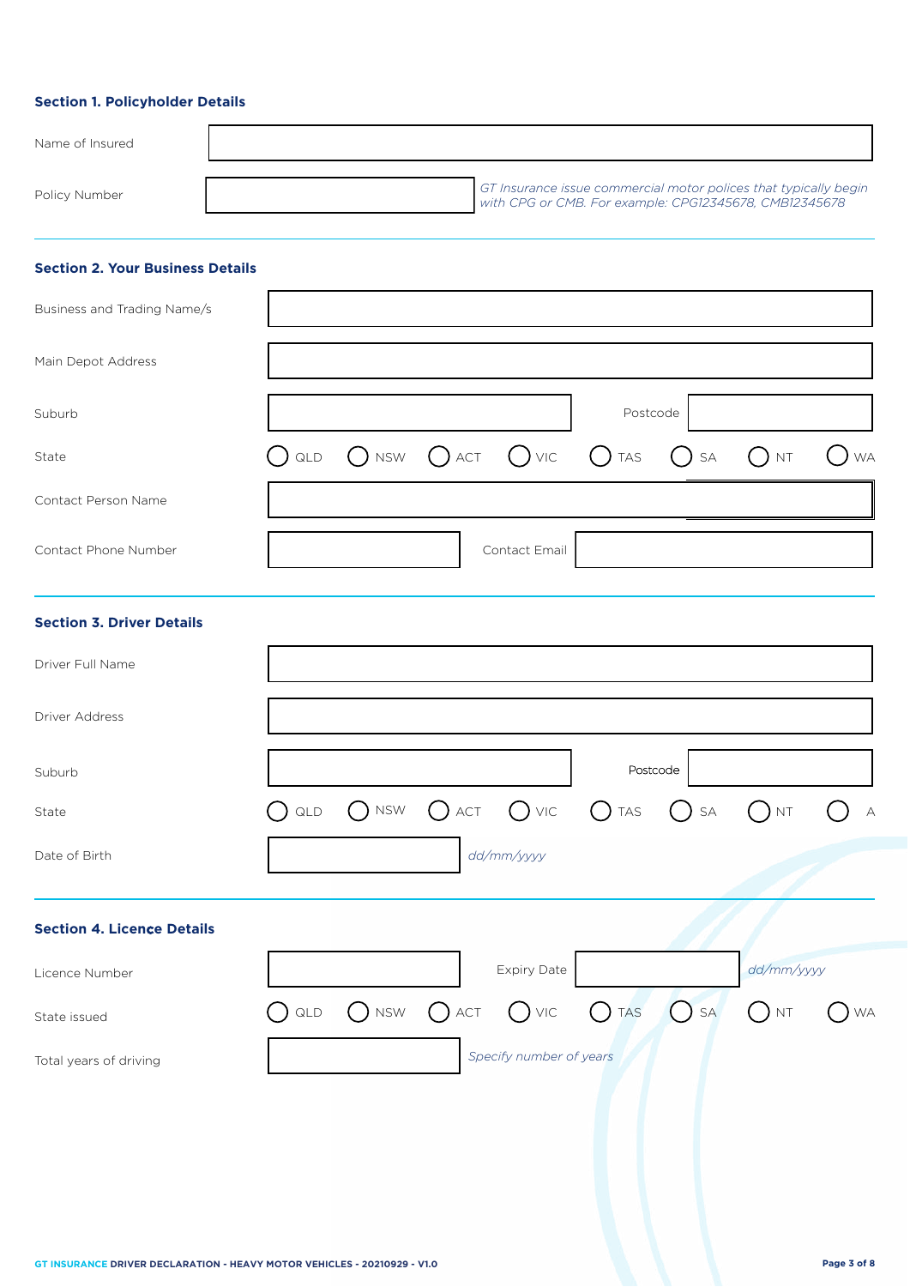## **Section 1. Policyholder Details**

| Name of Insured |                                                                                                                            |
|-----------------|----------------------------------------------------------------------------------------------------------------------------|
| Policy Number   | GT Insurance issue commercial motor polices that typically begin<br>with CPG or CMB. For example: CPG12345678, CMB12345678 |

## **Section 2. Your Business Details**

| Business and Trading Name/s |                                                              |               |          |  |  |
|-----------------------------|--------------------------------------------------------------|---------------|----------|--|--|
| Main Depot Address          |                                                              |               |          |  |  |
| Suburb                      |                                                              |               | Postcode |  |  |
| State                       | $O$ qld $O$ nsw $O$ act $O$ vic $O$ tas $O$ sa $O$ nt $O$ wa |               |          |  |  |
| Contact Person Name         |                                                              |               |          |  |  |
| Contact Phone Number        |                                                              | Contact Email |          |  |  |

## **Section 3. Driver Details**

| Driver Full Name                  |                |                             |               |                         |                |                               |                                     |           |
|-----------------------------------|----------------|-----------------------------|---------------|-------------------------|----------------|-------------------------------|-------------------------------------|-----------|
| Driver Address                    |                |                             |               |                         |                |                               |                                     |           |
| Suburb                            |                |                             |               |                         | Postcode       |                               |                                     |           |
| State                             | $\mathsf{QLD}$ | $\bigcap$ NSW               | $\bigcap$ act | $O$ VIC $O$ TAS         |                | $\mathsf{SA}\xspace$<br>$($ ) | $($ ) nt                            | $\forall$ |
| Date of Birth                     |                |                             |               | dd/mm/yyyy              |                |                               |                                     |           |
| <b>Section 4. Licence Details</b> |                |                             |               |                         |                |                               |                                     |           |
| Licence Number                    |                |                             |               | Expiry Date             |                |                               | dd/mm/yyyy                          |           |
| State issued                      | $\mathsf{QLD}$ | $\bigcap$ NSW $\bigcap$ ACT |               | $\bigcup$ VIC           | $\bigcirc$ tas | $O$ SA                        | $\left( \quad \right)$<br><b>NT</b> | <b>WA</b> |
| Total years of driving            |                |                             |               | Specify number of years |                |                               |                                     |           |
|                                   |                |                             |               |                         |                |                               |                                     |           |
|                                   |                |                             |               |                         |                |                               |                                     |           |
|                                   |                |                             |               |                         |                |                               |                                     |           |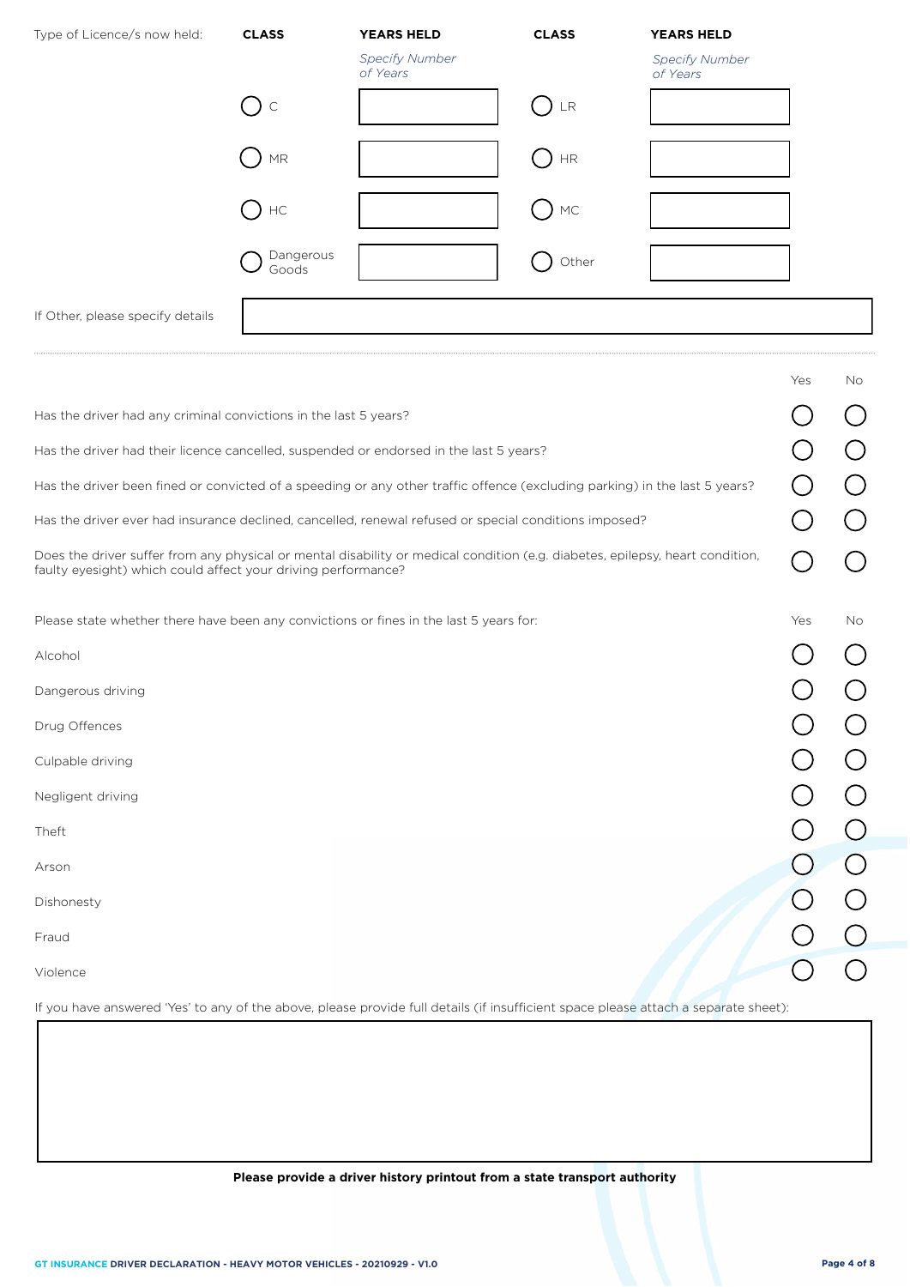| Type of Licence/s now held:      | <b>CLASS</b>               | <b>YEARS HELD</b>                 | <b>CLASS</b>   | <b>YEARS HELD</b>                 |
|----------------------------------|----------------------------|-----------------------------------|----------------|-----------------------------------|
|                                  |                            | <b>Specify Number</b><br>of Years |                | <b>Specify Number</b><br>of Years |
|                                  | $\bigcirc$ c               |                                   | $\bigcup$ lr   |                                   |
|                                  | $\ensuremath{\mathsf{MR}}$ |                                   | $\rm{HR}$      |                                   |
|                                  | $()$ HC                    |                                   | $MC$<br>$\Box$ |                                   |
|                                  | Dangerous<br>Goods         |                                   | Other          |                                   |
| If Other, please specify details |                            |                                   |                |                                   |

|                                                                                                                                                                                                | Yes | No. |
|------------------------------------------------------------------------------------------------------------------------------------------------------------------------------------------------|-----|-----|
| Has the driver had any criminal convictions in the last 5 years?                                                                                                                               |     |     |
| Has the driver had their licence cancelled, suspended or endorsed in the last 5 years?                                                                                                         |     |     |
| Has the driver been fined or convicted of a speeding or any other traffic offence (excluding parking) in the last 5 years?                                                                     |     |     |
| Has the driver ever had insurance declined, cancelled, renewal refused or special conditions imposed?                                                                                          |     |     |
| Does the driver suffer from any physical or mental disability or medical condition (e.g. diabetes, epilepsy, heart condition,<br>faulty eyesight) which could affect your driving performance? |     |     |
| Please state whether there have been any convictions or fines in the last 5 years for:                                                                                                         | Yes | No. |
| Alcohol                                                                                                                                                                                        |     |     |
| Dangerous driving                                                                                                                                                                              |     |     |
| Drug Offences                                                                                                                                                                                  |     |     |
| Culpable driving                                                                                                                                                                               |     |     |
| Negligent driving                                                                                                                                                                              |     |     |
| Theft                                                                                                                                                                                          |     |     |
| Arson                                                                                                                                                                                          |     |     |
| Dishonesty                                                                                                                                                                                     |     |     |
| Fraud                                                                                                                                                                                          |     |     |
| Violence                                                                                                                                                                                       |     |     |

If you have answered 'Yes' to any of the above, please provide full details (if insufficient space please attach a separate sheet):

## **Please provide a driver history printout from a state transport authority**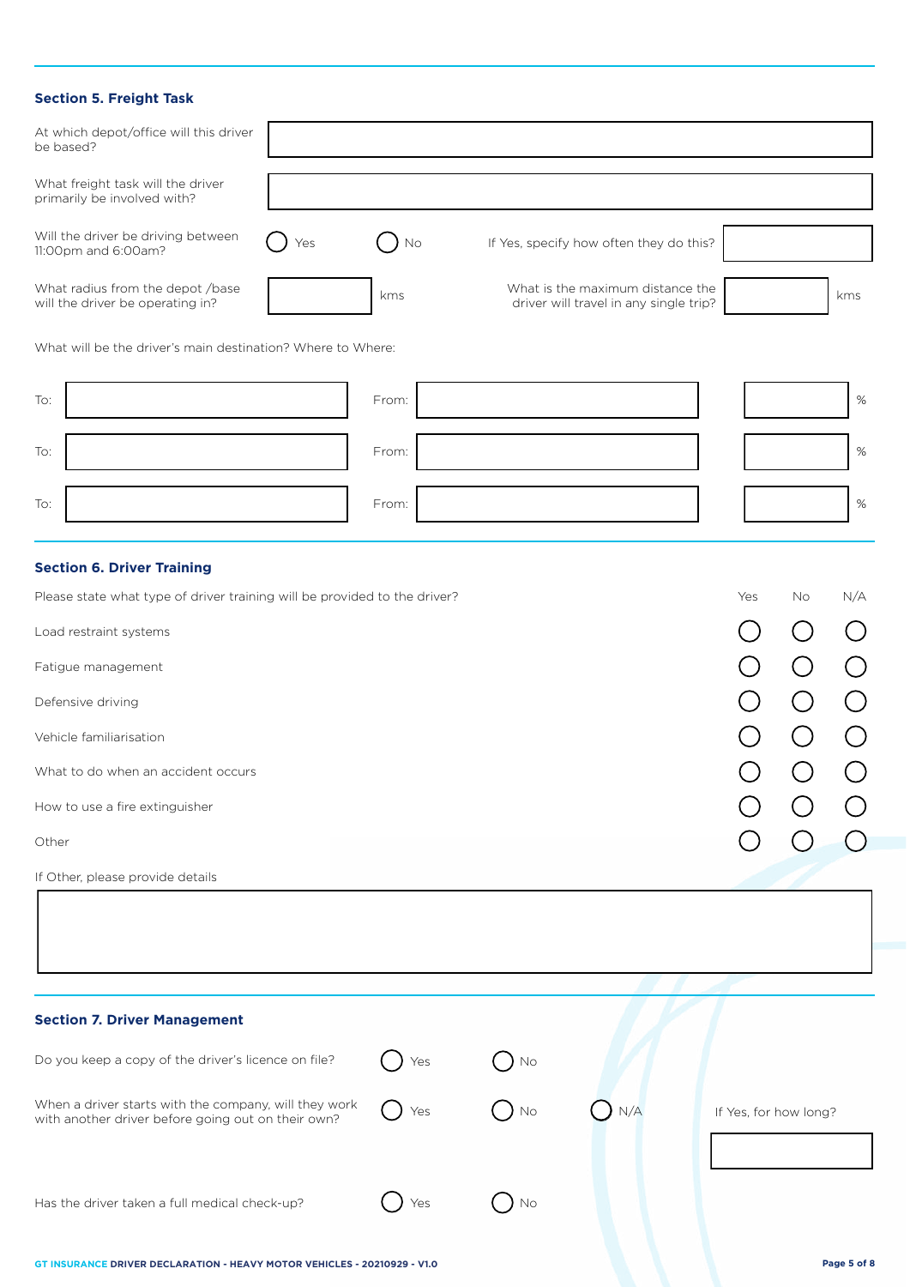#### **Section 5. Freight Task**

| <b>Section 5. Freight Task</b>                                                                                                                                                                                                                                                                                                      |     |       |        |                                                                            |                       |    |      |
|-------------------------------------------------------------------------------------------------------------------------------------------------------------------------------------------------------------------------------------------------------------------------------------------------------------------------------------|-----|-------|--------|----------------------------------------------------------------------------|-----------------------|----|------|
| At which depot/office will this driver<br>be based?                                                                                                                                                                                                                                                                                 |     |       |        |                                                                            |                       |    |      |
| What freight task will the driver<br>primarily be involved with?                                                                                                                                                                                                                                                                    |     |       |        |                                                                            |                       |    |      |
| Will the driver be driving between<br>11:00pm and 6:00am?                                                                                                                                                                                                                                                                           | Yes | No    |        | If Yes, specify how often they do this?                                    |                       |    |      |
| What radius from the depot /base<br>will the driver be operating in?                                                                                                                                                                                                                                                                |     | kms   |        | What is the maximum distance the<br>driver will travel in any single trip? |                       |    | kms  |
| What will be the driver's main destination? Where to Where:                                                                                                                                                                                                                                                                         |     |       |        |                                                                            |                       |    |      |
| To:                                                                                                                                                                                                                                                                                                                                 |     | From: |        |                                                                            |                       |    | $\%$ |
| To:                                                                                                                                                                                                                                                                                                                                 |     | From: |        |                                                                            |                       |    | $\%$ |
| To:                                                                                                                                                                                                                                                                                                                                 |     | From: |        |                                                                            |                       |    | $\%$ |
| <b>Section 6. Driver Training</b><br>Please state what type of driver training will be provided to the driver?<br>Load restraint systems<br>Fatigue management<br>Defensive driving<br>Vehicle familiarisation<br>What to do when an accident occurs<br>How to use a fire extinguisher<br>Other<br>If Other, please provide details |     |       |        |                                                                            | Yes                   | No | N/A  |
| <b>Section 7. Driver Management</b>                                                                                                                                                                                                                                                                                                 |     |       |        |                                                                            |                       |    |      |
| Do you keep a copy of the driver's licence on file?                                                                                                                                                                                                                                                                                 |     | Yes   | No     |                                                                            |                       |    |      |
| When a driver starts with the company, will they work<br>with another driver before going out on their own?                                                                                                                                                                                                                         |     | Yes   | No     | N/A                                                                        | If Yes, for how long? |    |      |
| Has the driver taken a full medical check-up?                                                                                                                                                                                                                                                                                       |     | Yes   | $)$ No |                                                                            |                       |    |      |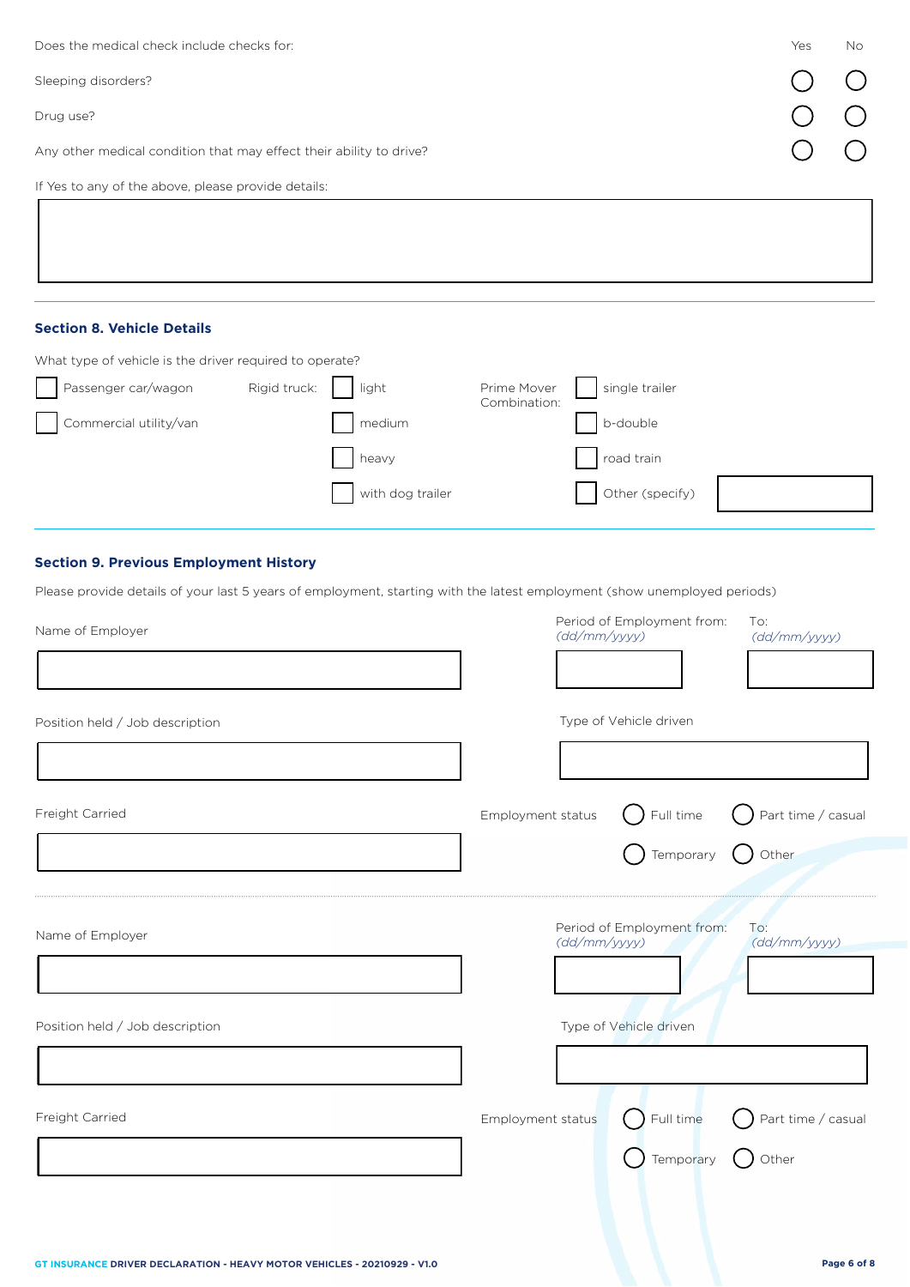| Does the medical check include checks for:                          | Yes | <b>No</b> |
|---------------------------------------------------------------------|-----|-----------|
| Sleeping disorders?                                                 |     |           |
| Drug use?                                                           |     |           |
| Any other medical condition that may effect their ability to drive? |     |           |
| If Yes to any of the above, please provide details:                 |     |           |
|                                                                     |     |           |
|                                                                     |     |           |

# **Section 8. Vehicle Details**

| What type of vehicle is the driver required to operate? |              |                  |                             |                 |
|---------------------------------------------------------|--------------|------------------|-----------------------------|-----------------|
| Passenger car/wagon                                     | Rigid truck: | light            | Prime Mover<br>Combination: | single trailer  |
| Commercial utility/van                                  |              | medium           |                             | b-double        |
|                                                         |              | heavy            |                             | road train      |
|                                                         |              | with dog trailer |                             | Other (specify) |

## **Section 9. Previous Employment History**

Please provide details of your last 5 years of employment, starting with the latest employment (show unemployed periods)

| Name of Employer                | Period of Employment from:<br>To:<br>(dd/mm/yyyy)<br>(dd/mm/yyyy)                                  |
|---------------------------------|----------------------------------------------------------------------------------------------------|
|                                 |                                                                                                    |
| Position held / Job description | Type of Vehicle driven                                                                             |
|                                 |                                                                                                    |
| Freight Carried                 | Part time / casual<br>$\left( \begin{array}{c} \end{array} \right)$ Full time<br>Employment status |
|                                 | $\bigcirc$ Other<br>Temporary                                                                      |
| Name of Employer                | Period of Employment from:<br>To:<br>(dd/mm/yyyy)<br>(dd/mm/yyyy)                                  |
| Position held / Job description | Type of Vehicle driven                                                                             |
|                                 |                                                                                                    |
| Freight Carried                 | Full time<br>Part time / casual<br>Employment status<br>Temporary<br>Other                         |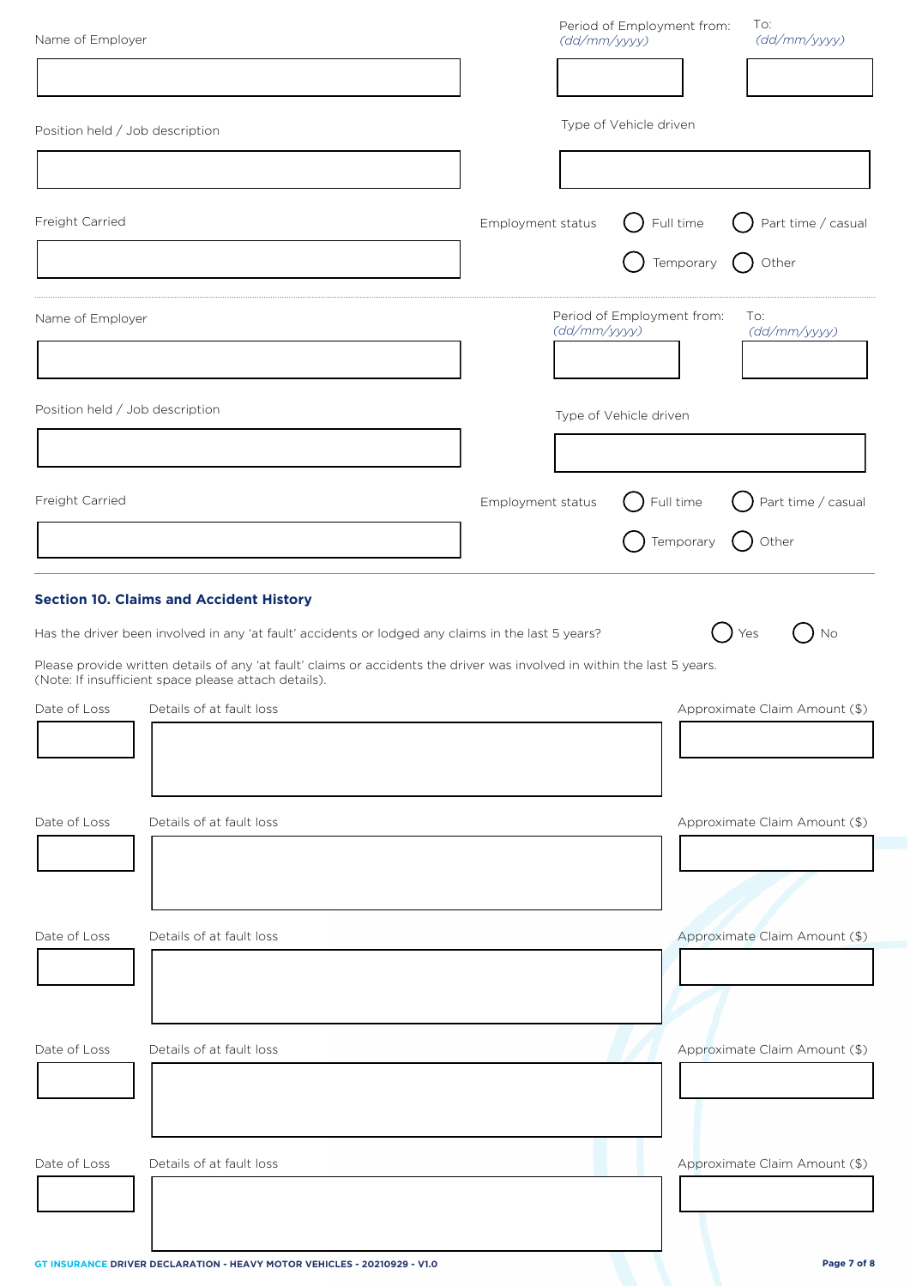| Name of Employer                |                                                                                                                                                                                  | (dd/mm/yyyy)      | To:<br>Period of Employment from:<br>(dd/mm/yyyy) |
|---------------------------------|----------------------------------------------------------------------------------------------------------------------------------------------------------------------------------|-------------------|---------------------------------------------------|
|                                 |                                                                                                                                                                                  |                   |                                                   |
| Position held / Job description |                                                                                                                                                                                  |                   | Type of Vehicle driven                            |
|                                 |                                                                                                                                                                                  |                   |                                                   |
| Freight Carried                 |                                                                                                                                                                                  | Employment status | Part time / casual<br>Full time                   |
|                                 |                                                                                                                                                                                  |                   | Temporary<br>Other<br>( )                         |
| Name of Employer                |                                                                                                                                                                                  | (dd/mm/yyyy)      | Period of Employment from:<br>To:<br>(dd/mm/yyyy) |
| Position held / Job description |                                                                                                                                                                                  |                   | Type of Vehicle driven                            |
|                                 |                                                                                                                                                                                  |                   |                                                   |
| Freight Carried                 |                                                                                                                                                                                  | Employment status | Part time / casual<br>Full time                   |
|                                 |                                                                                                                                                                                  |                   | Other<br>Temporary                                |
|                                 | <b>Section 10. Claims and Accident History</b><br>Has the driver been involved in any 'at fault' accidents or lodged any claims in the last 5 years?                             |                   | No<br>Yes                                         |
|                                 | Please provide written details of any 'at fault' claims or accidents the driver was involved in within the last 5 years.<br>(Note: If insufficient space please attach details). |                   |                                                   |
| Date of Loss                    | Details of at fault loss                                                                                                                                                         |                   | Approximate Claim Amount (\$)                     |
| Date of Loss                    | Details of at fault loss                                                                                                                                                         |                   | Approximate Claim Amount (\$)                     |
|                                 |                                                                                                                                                                                  |                   |                                                   |
| Date of Loss                    | Details of at fault loss                                                                                                                                                         |                   | Approximate Claim Amount (\$)                     |
|                                 |                                                                                                                                                                                  |                   |                                                   |
| Date of Loss                    | Details of at fault loss                                                                                                                                                         |                   | Approximate Claim Amount (\$)                     |
|                                 |                                                                                                                                                                                  |                   |                                                   |
| Date of Loss                    | Details of at fault loss                                                                                                                                                         |                   | Approximate Claim Amount (\$)                     |